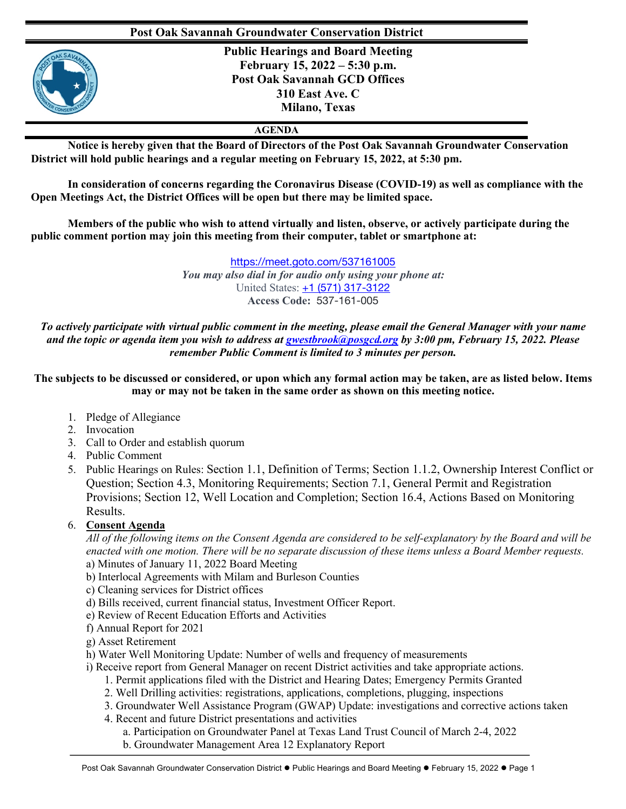## **Post Oak Savannah Groundwater Conservation District**



**Public Hearings and Board Meeting February 15, 2022 – 5:30 p.m. Post Oak Savannah GCD Offices 310 East Ave. C Milano, Texas**

## **AGENDA**

**Notice is hereby given that the Board of Directors of the Post Oak Savannah Groundwater Conservation District will hold public hearings and a regular meeting on February 15, 2022, at 5:30 pm.**

**In consideration of concerns regarding the Coronavirus Disease (COVID-19) as well as compliance with the Open Meetings Act, the District Offices will be open but there may be limited space.** 

**Members of the public who wish to attend virtually and listen, observe, or actively participate during the public comment portion may join this meeting from their computer, tablet or smartphone at:**

> https://meet.goto.com/537161005 *You may also dial in for audio only using your phone at:* United States: +1 (571) 317-3122 **Access Code:** 537-161-005

*To actively participate with virtual public comment in the meeting, please email the General Manager with your name and the topic or agenda item you wish to address at gwestbrook@posgcd.org by 3:00 pm, February 15, 2022. Please remember Public Comment is limited to 3 minutes per person.*

**The subjects to be discussed or considered, or upon which any formal action may be taken, are as listed below. Items may or may not be taken in the same order as shown on this meeting notice.**

- 1. Pledge of Allegiance
- 2. Invocation
- 3. Call to Order and establish quorum
- 4. Public Comment
- 5. Public Hearings on Rules: Section 1.1, Definition of Terms; Section 1.1.2, Ownership Interest Conflict or Question; Section 4.3, Monitoring Requirements; Section 7.1, General Permit and Registration Provisions; Section 12, Well Location and Completion; Section 16.4, Actions Based on Monitoring Results.
- 6. **Consent Agenda**

*All of the following items on the Consent Agenda are considered to be self-explanatory by the Board and will be enacted with one motion. There will be no separate discussion of these items unless a Board Member requests.* a) Minutes of January 11, 2022 Board Meeting

- b) Interlocal Agreements with Milam and Burleson Counties
- c) Cleaning services for District offices
- d) Bills received, current financial status, Investment Officer Report.
- e) Review of Recent Education Efforts and Activities
- f) Annual Report for 2021
- g) Asset Retirement
- h) Water Well Monitoring Update: Number of wells and frequency of measurements
- i) Receive report from General Manager on recent District activities and take appropriate actions.
	- 1. Permit applications filed with the District and Hearing Dates; Emergency Permits Granted
	- 2. Well Drilling activities: registrations, applications, completions, plugging, inspections
	- 3. Groundwater Well Assistance Program (GWAP) Update: investigations and corrective actions taken
	- 4. Recent and future District presentations and activities
		- a. Participation on Groundwater Panel at Texas Land Trust Council of March 2-4, 2022
		- b. Groundwater Management Area 12 Explanatory Report